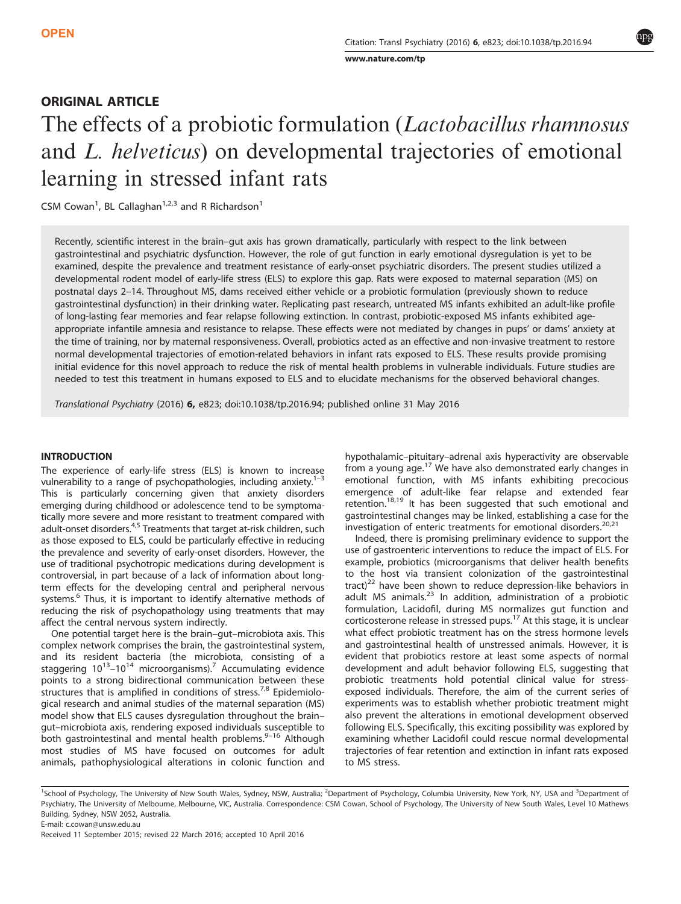[www.nature.com/tp](http://www.nature.com/tp)

# ORIGINAL ARTICLE

# The effects of a probiotic formulation (*Lactobacillus rhamnosus* and L. helveticus) on developmental trajectories of emotional learning in stressed infant rats

 $CSM$  Cowan<sup>1</sup>, BL Callaghan<sup>1,2,3</sup> and R Richardson<sup>1</sup>

Recently, scientific interest in the brain–gut axis has grown dramatically, particularly with respect to the link between gastrointestinal and psychiatric dysfunction. However, the role of gut function in early emotional dysregulation is yet to be examined, despite the prevalence and treatment resistance of early-onset psychiatric disorders. The present studies utilized a developmental rodent model of early-life stress (ELS) to explore this gap. Rats were exposed to maternal separation (MS) on postnatal days 2–14. Throughout MS, dams received either vehicle or a probiotic formulation (previously shown to reduce gastrointestinal dysfunction) in their drinking water. Replicating past research, untreated MS infants exhibited an adult-like profile of long-lasting fear memories and fear relapse following extinction. In contrast, probiotic-exposed MS infants exhibited ageappropriate infantile amnesia and resistance to relapse. These effects were not mediated by changes in pups' or dams' anxiety at the time of training, nor by maternal responsiveness. Overall, probiotics acted as an effective and non-invasive treatment to restore normal developmental trajectories of emotion-related behaviors in infant rats exposed to ELS. These results provide promising initial evidence for this novel approach to reduce the risk of mental health problems in vulnerable individuals. Future studies are needed to test this treatment in humans exposed to ELS and to elucidate mechanisms for the observed behavioral changes.

Translational Psychiatry (2016) 6, e823; doi:10.1038/tp.2016.94; published online 31 May 2016

## **INTRODUCTION**

The experience of early-life stress (ELS) is known to incre[ase](#page-6-0) vulnerability to a range of psychopathologies, including anxiety.<sup>1-3</sup> This is particularly concerning given that anxiety disorders emerging during childhood or adolescence tend to be symptomatically more severe and more resistant to treatment compared with adult-onset disorders.<sup>[4,5](#page-6-0)</sup> Treatments that target at-risk children, such as those exposed to ELS, could be particularly effective in reducing the prevalence and severity of early-onset disorders. However, the use of traditional psychotropic medications during development is controversial, in part because of a lack of information about longterm effects for the developing central and peripheral nervous systems.<sup>[6](#page-6-0)</sup> Thus, it is important to identify alternative methods of reducing the risk of psychopathology using treatments that may affect the central nervous system indirectly.

One potential target here is the brain–gut–microbiota axis. This complex network comprises the brain, the gastrointestinal system, and its resident bacteria (the microbiota, consisting of a staggering  $10^{13}$ –10<sup>14</sup> microorganisms).<sup>[7](#page-6-0)</sup> Accumulating evidence points to a strong bidirectional communication between these structures that is amplified in conditions of stress.<sup>[7,8](#page-6-0)</sup> Epidemiological research and animal studies of the maternal separation (MS) model show that ELS causes dysregulation throughout the brain– gut–microbiota axis, rendering exposed individuals susceptible to both gastrointestinal and mental health problems.<sup>9-[16](#page-6-0)</sup> Although most studies of MS have focused on outcomes for adult animals, pathophysiological alterations in colonic function and hypothalamic–pituitary–adrenal axis hyperactivity are observable from a young age.<sup>[17](#page-6-0)</sup> We have also demonstrated early changes in emotional function, with MS infants exhibiting precocious emergence of adult-like fear relapse and extended fear retention.<sup>[18,19](#page-6-0)</sup> It has been suggested that such emotional and gastrointestinal changes may be linked, establishing a case for the investigation of enteric treatments for emotional disorders.<sup>[20](#page-6-0),[21](#page-6-0)</sup>

Indeed, there is promising preliminary evidence to support the use of gastroenteric interventions to reduce the impact of ELS. For example, probiotics (microorganisms that deliver health benefits to the host via transient colonization of the gastrointestinal  $\text{tract}$ <sup>[22](#page-6-0)</sup> have been shown to reduce depression-like behaviors in adult MS animals. $^{23}$  $^{23}$  $^{23}$  In addition, administration of a probiotic formulation, Lacidofil, during MS normalizes gut function and corticosterone release in stressed pups.<sup>[17](#page-6-0)</sup> At this stage, it is unclear what effect probiotic treatment has on the stress hormone levels and gastrointestinal health of unstressed animals. However, it is evident that probiotics restore at least some aspects of normal development and adult behavior following ELS, suggesting that probiotic treatments hold potential clinical value for stressexposed individuals. Therefore, the aim of the current series of experiments was to establish whether probiotic treatment might also prevent the alterations in emotional development observed following ELS. Specifically, this exciting possibility was explored by examining whether Lacidofil could rescue normal developmental trajectories of fear retention and extinction in infant rats exposed to MS stress.

<sup>&</sup>lt;sup>1</sup>School of Psychology, The University of New South Wales, Sydney, NSW, Australia; <sup>2</sup>Department of Psychology, Columbia University, New York, NY, USA and <sup>3</sup>Department of Psychiatry, The University of Melbourne, Melbourne, VIC, Australia. Correspondence: CSM Cowan, School of Psychology, The University of New South Wales, Level 10 Mathews Building, Sydney, NSW 2052, Australia. E-mail: [c.cowan@unsw.edu.au](mailto:c.�cowan@unsw.edu.au)

Received 11 September 2015; revised 22 March 2016; accepted 10 April 2016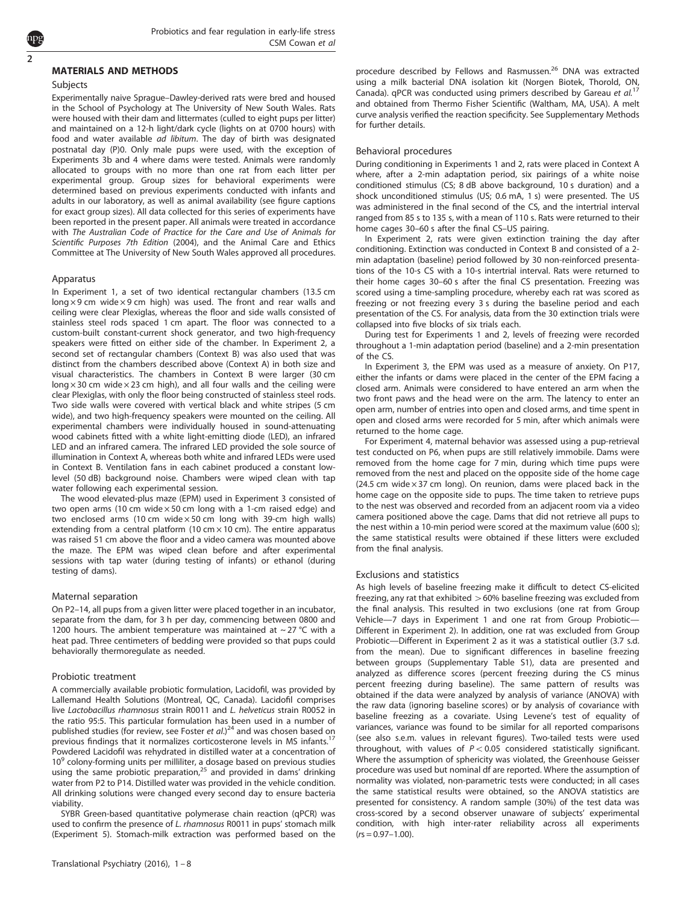#### MATERIALS AND METHODS

#### **Subjects**

Experimentally naive Sprague–Dawley-derived rats were bred and housed in the School of Psychology at The University of New South Wales. Rats were housed with their dam and littermates (culled to eight pups per litter) and maintained on a 12-h light/dark cycle (lights on at 0700 hours) with food and water available ad libitum. The day of birth was designated postnatal day (P)0. Only male pups were used, with the exception of Experiments 3b and 4 where dams were tested. Animals were randomly allocated to groups with no more than one rat from each litter per experimental group. Group sizes for behavioral experiments were determined based on previous experiments conducted with infants and adults in our laboratory, as well as animal availability (see figure captions for exact group sizes). All data collected for this series of experiments have been reported in the present paper. All animals were treated in accordance with The Australian Code of Practice for the Care and Use of Animals for Scientific Purposes 7th Edition (2004), and the Animal Care and Ethics Committee at The University of New South Wales approved all procedures.

#### Apparatus

In Experiment 1, a set of two identical rectangular chambers (13.5 cm  $long \times 9$  cm wide  $\times 9$  cm high) was used. The front and rear walls and ceiling were clear Plexiglas, whereas the floor and side walls consisted of stainless steel rods spaced 1 cm apart. The floor was connected to a custom-built constant-current shock generator, and two high-frequency speakers were fitted on either side of the chamber. In Experiment 2, a second set of rectangular chambers (Context B) was also used that was distinct from the chambers described above (Context A) in both size and visual characteristics. The chambers in Context B were larger (30 cm  $long \times 30$  cm wide  $\times 23$  cm high), and all four walls and the ceiling were clear Plexiglas, with only the floor being constructed of stainless steel rods. Two side walls were covered with vertical black and white stripes (5 cm wide), and two high-frequency speakers were mounted on the ceiling. All experimental chambers were individually housed in sound-attenuating wood cabinets fitted with a white light-emitting diode (LED), an infrared LED and an infrared camera. The infrared LED provided the sole source of illumination in Context A, whereas both white and infrared LEDs were used in Context B. Ventilation fans in each cabinet produced a constant lowlevel (50 dB) background noise. Chambers were wiped clean with tap water following each experimental session.

The wood elevated-plus maze (EPM) used in Experiment 3 consisted of two open arms (10 cm wide  $\times$  50 cm long with a 1-cm raised edge) and two enclosed arms (10 cm wide × 50 cm long with 39-cm high walls) extending from a central platform (10 cm  $\times$  10 cm). The entire apparatus was raised 51 cm above the floor and a video camera was mounted above the maze. The EPM was wiped clean before and after experimental sessions with tap water (during testing of infants) or ethanol (during testing of dams).

#### Maternal separation

On P2–14, all pups from a given litter were placed together in an incubator, separate from the dam, for 3 h per day, commencing between 0800 and 1200 hours. The ambient temperature was maintained at  $\sim$  27 °C with a heat pad. Three centimeters of bedding were provided so that pups could behaviorally thermoregulate as needed.

#### Probiotic treatment

A commercially available probiotic formulation, Lacidofil, was provided by Lallemand Health Solutions (Montreal, QC, Canada). Lacidofil comprises live Lactobacillus rhamnosus strain R0011 and L. helveticus strain R0052 in the ratio 95:5. This particular formulation has been used in a number of published studies (for review, see Foster et  $al$ .)<sup>[24](#page-6-0)</sup> and was chosen based on previous findings that it normalizes corticosterone levels in MS infants.<sup>1</sup> Powdered Lacidofil was rehydrated in distilled water at a concentration of  $10<sup>9</sup>$  colony-forming units per milliliter, a dosage based on previous studies using the same probiotic preparation, $25$  and provided in dams' drinking water from P2 to P14. Distilled water was provided in the vehicle condition. All drinking solutions were changed every second day to ensure bacteria viability.

SYBR Green-based quantitative polymerase chain reaction (qPCR) was used to confirm the presence of L. rhamnosus R0011 in pups' stomach milk (Experiment 5). Stomach-milk extraction was performed based on the procedure described by Fellows and Rasmussen.[26](#page-6-0) DNA was extracted using a milk bacterial DNA isolation kit (Norgen Biotek, Thorold, ON, Canada). qPCR was conducted using primers described by Gareau et  $al$ .<sup>[17](#page-6-0)</sup> and obtained from Thermo Fisher Scientific (Waltham, MA, USA). A melt curve analysis verified the reaction specificity. See Supplementary Methods for further details.

#### Behavioral procedures

During conditioning in Experiments 1 and 2, rats were placed in Context A where, after a 2-min adaptation period, six pairings of a white noise conditioned stimulus (CS; 8 dB above background, 10 s duration) and a shock unconditioned stimulus (US; 0.6 mA, 1 s) were presented. The US was administered in the final second of the CS, and the intertrial interval ranged from 85 s to 135 s, with a mean of 110 s. Rats were returned to their home cages 30–60 s after the final CS–US pairing.

In Experiment 2, rats were given extinction training the day after conditioning. Extinction was conducted in Context B and consisted of a 2 min adaptation (baseline) period followed by 30 non-reinforced presentations of the 10-s CS with a 10-s intertrial interval. Rats were returned to their home cages 30–60 s after the final CS presentation. Freezing was scored using a time-sampling procedure, whereby each rat was scored as freezing or not freezing every 3 s during the baseline period and each presentation of the CS. For analysis, data from the 30 extinction trials were collapsed into five blocks of six trials each.

During test for Experiments 1 and 2, levels of freezing were recorded throughout a 1-min adaptation period (baseline) and a 2-min presentation of the CS.

In Experiment 3, the EPM was used as a measure of anxiety. On P17, either the infants or dams were placed in the center of the EPM facing a closed arm. Animals were considered to have entered an arm when the two front paws and the head were on the arm. The latency to enter an open arm, number of entries into open and closed arms, and time spent in open and closed arms were recorded for 5 min, after which animals were returned to the home cage.

For Experiment 4, maternal behavior was assessed using a pup-retrieval test conducted on P6, when pups are still relatively immobile. Dams were removed from the home cage for 7 min, during which time pups were removed from the nest and placed on the opposite side of the home cage (24.5 cm wide  $\times$  37 cm long). On reunion, dams were placed back in the home cage on the opposite side to pups. The time taken to retrieve pups to the nest was observed and recorded from an adjacent room via a video camera positioned above the cage. Dams that did not retrieve all pups to the nest within a 10-min period were scored at the maximum value (600 s); the same statistical results were obtained if these litters were excluded from the final analysis.

#### Exclusions and statistics

As high levels of baseline freezing make it difficult to detect CS-elicited freezing, any rat that exhibited  $>60\%$  baseline freezing was excluded from the final analysis. This resulted in two exclusions (one rat from Group Vehicle—7 days in Experiment 1 and one rat from Group Probiotic— Different in Experiment 2). In addition, one rat was excluded from Group Probiotic—Different in Experiment 2 as it was a statistical outlier (3.7 s.d. from the mean). Due to significant differences in baseline freezing between groups (Supplementary Table S1), data are presented and analyzed as difference scores (percent freezing during the CS minus percent freezing during baseline). The same pattern of results was obtained if the data were analyzed by analysis of variance (ANOVA) with the raw data (ignoring baseline scores) or by analysis of covariance with baseline freezing as a covariate. Using Levene's test of equality of variances, variance was found to be similar for all reported comparisons (see also s.e.m. values in relevant figures). Two-tailed tests were used throughout, with values of  $P < 0.05$  considered statistically significant. Where the assumption of sphericity was violated, the Greenhouse Geisser procedure was used but nominal df are reported. Where the assumption of normality was violated, non-parametric tests were conducted; in all cases the same statistical results were obtained, so the ANOVA statistics are presented for consistency. A random sample (30%) of the test data was cross-scored by a second observer unaware of subjects' experimental condition, with high inter-rater reliability across all experiments  $(rs = 0.97 - 1.00)$ .

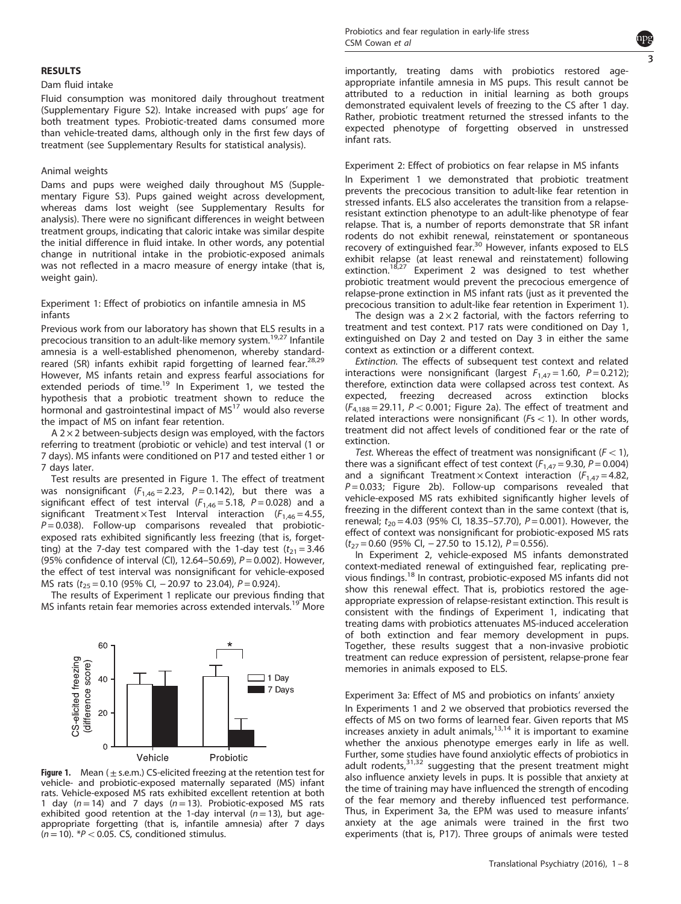#### RESULTS

#### Dam fluid intake

Fluid consumption was monitored daily throughout treatment (Supplementary Figure S2). Intake increased with pups' age for both treatment types. Probiotic-treated dams consumed more than vehicle-treated dams, although only in the first few days of treatment (see Supplementary Results for statistical analysis).

#### Animal weights

Dams and pups were weighed daily throughout MS (Supplementary Figure S3). Pups gained weight across development, whereas dams lost weight (see Supplementary Results for analysis). There were no significant differences in weight between treatment groups, indicating that caloric intake was similar despite the initial difference in fluid intake. In other words, any potential change in nutritional intake in the probiotic-exposed animals was not reflected in a macro measure of energy intake (that is, weight gain).

Experiment 1: Effect of probiotics on infantile amnesia in MS infants

Previous work from our laboratory has shown that ELS results in a precocious transition to an adult-like memory system.<sup>[19,27](#page-6-0)</sup> Infantile amnesia is a well-established phenomenon, whereby standard-reared (SR) infants exhibit rapid forgetting of learned fear.<sup>[28,29](#page-6-0)</sup> However, MS infants retain and express fearful associations for extended periods of time.<sup>[19](#page-6-0)</sup> In Experiment 1, we tested the hypothesis that a probiotic treatment shown to reduce the hormonal and gastrointestinal impact of MS<sup>17</sup> would also reverse the impact of MS on infant fear retention.

A  $2 \times 2$  between-subjects design was employed, with the factors referring to treatment (probiotic or vehicle) and test interval (1 or 7 days). MS infants were conditioned on P17 and tested either 1 or 7 days later.

Test results are presented in Figure 1. The effect of treatment was nonsignificant  $(F_{1,46} = 2.23, P = 0.142)$ , but there was a significant effect of test interval  $(F<sub>1,46</sub> = 5.18, P = 0.028)$  and a significant Treatment  $\times$  Test Interval interaction ( $F_{1,46} = 4.55$ ,  $P = 0.038$ ). Follow-up comparisons revealed that probioticexposed rats exhibited significantly less freezing (that is, forgetting) at the 7-day test compared with the 1-day test  $(t_{21} = 3.46$ (95% confidence of interval (CI), 12.64-50.69),  $P = 0.002$ ). However, the effect of test interval was nonsignificant for vehicle-exposed MS rats ( $t_{25}$  = 0.10 (95% CI, - 20.97 to 23.04), P = 0.924).

The results of Experiment 1 replicate our previous finding that MS infants retain fear memories across extended intervals.<sup>[19](#page-6-0)</sup> More



Figure 1. Mean  $(\pm$  s.e.m.) CS-elicited freezing at the retention test for vehicle- and probiotic-exposed maternally separated (MS) infant rats. Vehicle-exposed MS rats exhibited excellent retention at both 1 day  $(n=14)$  and 7 days  $(n=13)$ . Probiotic-exposed MS rats exhibited good retention at the 1-day interval  $(n=13)$ , but ageappropriate forgetting (that is, infantile amnesia) after 7 days  $(n=10)$ . \*P < 0.05. CS, conditioned stimulus.



importantly, treating dams with probiotics restored ageappropriate infantile amnesia in MS pups. This result cannot be attributed to a reduction in initial learning as both groups demonstrated equivalent levels of freezing to the CS after 1 day. Rather, probiotic treatment returned the stressed infants to the expected phenotype of forgetting observed in unstressed infant rats.

Experiment 2: Effect of probiotics on fear relapse in MS infants

In Experiment 1 we demonstrated that probiotic treatment prevents the precocious transition to adult-like fear retention in stressed infants. ELS also accelerates the transition from a relapseresistant extinction phenotype to an adult-like phenotype of fear relapse. That is, a number of reports demonstrate that SR infant rodents do not exhibit renewal, reinstatement or spontaneous recovery of extinguished fear.<sup>[30](#page-6-0)</sup> However, infants exposed to ELS exhibit relapse (at least renewal and reinstatement) following extinction.[18,27](#page-6-0) Experiment 2 was designed to test whether probiotic treatment would prevent the precocious emergence of relapse-prone extinction in MS infant rats (just as it prevented the precocious transition to adult-like fear retention in Experiment 1).

The design was a  $2 \times 2$  factorial, with the factors referring to treatment and test context. P17 rats were conditioned on Day 1, extinguished on Day 2 and tested on Day 3 in either the same context as extinction or a different context.

Extinction. The effects of subsequent test context and related interactions were nonsignificant (largest  $F_{1,47} = 1.60$ ,  $P = 0.212$ ); therefore, extinction data were collapsed across test context. As expected, freezing decreased across extinction blocks  $(F_{4,188} = 29.11, P < 0.001$ ; [Figure 2a\)](#page-3-0). The effect of treatment and related interactions were nonsignificant ( $Fs < 1$ ). In other words, treatment did not affect levels of conditioned fear or the rate of extinction.

Test. Whereas the effect of treatment was nonsignificant ( $F < 1$ ), there was a significant effect of test context ( $F_{1,47} = 9.30$ ,  $P = 0.004$ ) and a significant Treatment × Context interaction  $(F_{1,47} = 4.82)$ ,  $P = 0.033$ ; [Figure 2b](#page-3-0)). Follow-up comparisons revealed that vehicle-exposed MS rats exhibited significantly higher levels of freezing in the different context than in the same context (that is, renewal;  $t_{20} = 4.03$  (95% CI, 18.35–57.70),  $P = 0.001$ ). However, the effect of context was nonsignificant for probiotic-exposed MS rats  $(t_{27} = 0.60$  (95% CI,  $-27.50$  to 15.12),  $P = 0.556$ ).

In Experiment 2, vehicle-exposed MS infants demonstrated context-mediated renewal of extinguished fear, replicating previous findings.[18](#page-6-0) In contrast, probiotic-exposed MS infants did not show this renewal effect. That is, probiotics restored the ageappropriate expression of relapse-resistant extinction. This result is consistent with the findings of Experiment 1, indicating that treating dams with probiotics attenuates MS-induced acceleration of both extinction and fear memory development in pups. Together, these results suggest that a non-invasive probiotic treatment can reduce expression of persistent, relapse-prone fear memories in animals exposed to ELS.

Experiment 3a: Effect of MS and probiotics on infants' anxiety

In Experiments 1 and 2 we observed that probiotics reversed the effects of MS on two forms of learned fear. Given reports that MS increases anxiety in adult animals,<sup>[13,14](#page-6-0)</sup> it is important to examine whether the anxious phenotype emerges early in life as well. Further, some studies have found anxiolytic effects of probiotics in<br>adult rodents,<sup>[31](#page-6-0),[32](#page-6-0)</sup> suggesting that the present treatment might also influence anxiety levels in pups. It is possible that anxiety at the time of training may have influenced the strength of encoding of the fear memory and thereby influenced test performance. Thus, in Experiment 3a, the EPM was used to measure infants' anxiety at the age animals were trained in the first two experiments (that is, P17). Three groups of animals were tested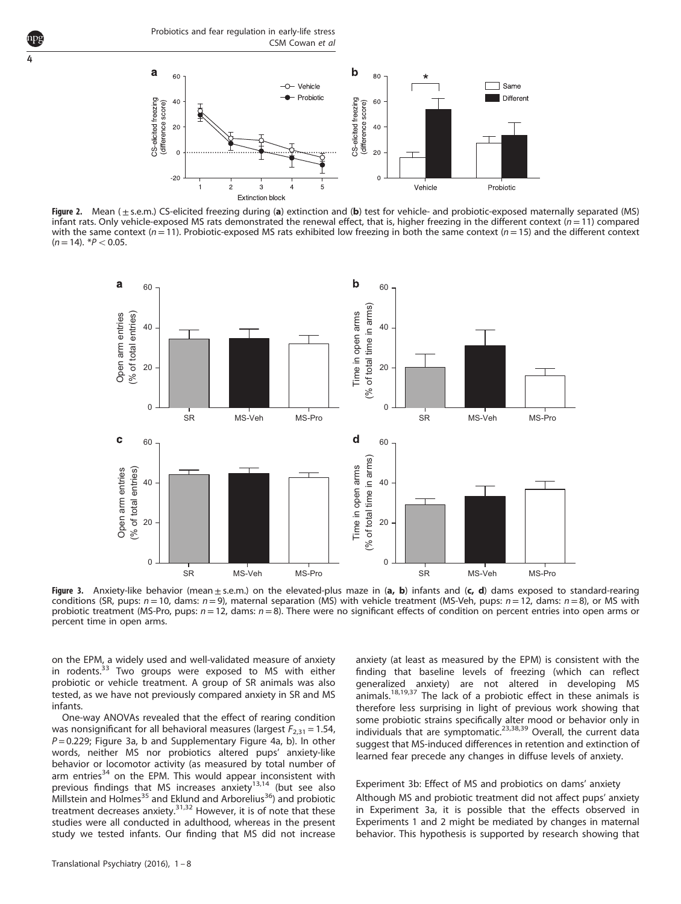<span id="page-3-0"></span>4



Figure 2. Mean  $(\pm s.e.m.)$  CS-elicited freezing during (a) extinction and (b) test for vehicle- and probiotic-exposed maternally separated (MS) infant rats. Only vehicle-exposed MS rats demonstrated the renewal effect, that is, higher freezing in the different context ( $n=11$ ) compared with the same context ( $n=11$ ). Probiotic-exposed MS rats exhibited low freezing in both the same context ( $n=15$ ) and the different context  $(n=14)$ . \* $P < 0.05$ .



Figure 3. Anxiety-like behavior (mean  $\pm$  s.e.m.) on the elevated-plus maze in (a, b) infants and (c, d) dams exposed to standard-rearing conditions (SR, pups:  $n = 10$ , dams:  $n = 9$ ), maternal separation (MS) with vehicle treatment (MS-Veh, pups:  $n = 12$ , dams:  $n = 8$ ), or MS with probiotic treatment (MS-Pro, pups:  $n=12$ , dams:  $n=8$ ). There were no significant effects of condition on percent entries into open arms or percent time in open arms.

on the EPM, a widely used and well-validated measure of anxiety in rodents. $33$  Two groups were exposed to MS with either probiotic or vehicle treatment. A group of SR animals was also tested, as we have not previously compared anxiety in SR and MS infants.

One-way ANOVAs revealed that the effect of rearing condition was nonsignificant for all behavioral measures (largest  $F_{2,31} = 1.54$ ,  $P = 0.229$ ; Figure 3a, b and Supplementary Figure 4a, b). In other words, neither MS nor probiotics altered pups' anxiety-like behavior or locomotor activity (as measured by total number of arm entries<sup>[34](#page-6-0)</sup> on the EPM. This would appear inconsistent with previous findings that MS increases anxiety<sup>[13,14](#page-6-0)</sup> (but see also Millstein and Holmes<sup>[35](#page-6-0)</sup> and Eklund and Arborelius<sup>[36](#page-6-0)</sup>) and probiotic treatment decreases anxiety.<sup>[31](#page-6-0),[32](#page-6-0)</sup> However, it is of note that these studies were all conducted in adulthood, whereas in the present study we tested infants. Our finding that MS did not increase anxiety (at least as measured by the EPM) is consistent with the finding that baseline levels of freezing (which can reflect generalized anxiety) are not altered in developing MS animals.<sup>[18,19,37](#page-6-0)</sup> The lack of a probiotic effect in these animals is therefore less surprising in light of previous work showing that some probiotic strains specifically alter mood or behavior only in individuals that are symptomatic.<sup>[23,38,39](#page-6-0)</sup> Overall, the current data suggest that MS-induced differences in retention and extinction of learned fear precede any changes in diffuse levels of anxiety.

Experiment 3b: Effect of MS and probiotics on dams' anxiety Although MS and probiotic treatment did not affect pups' anxiety in Experiment 3a, it is possible that the effects observed in Experiments 1 and 2 might be mediated by changes in maternal behavior. This hypothesis is supported by research showing that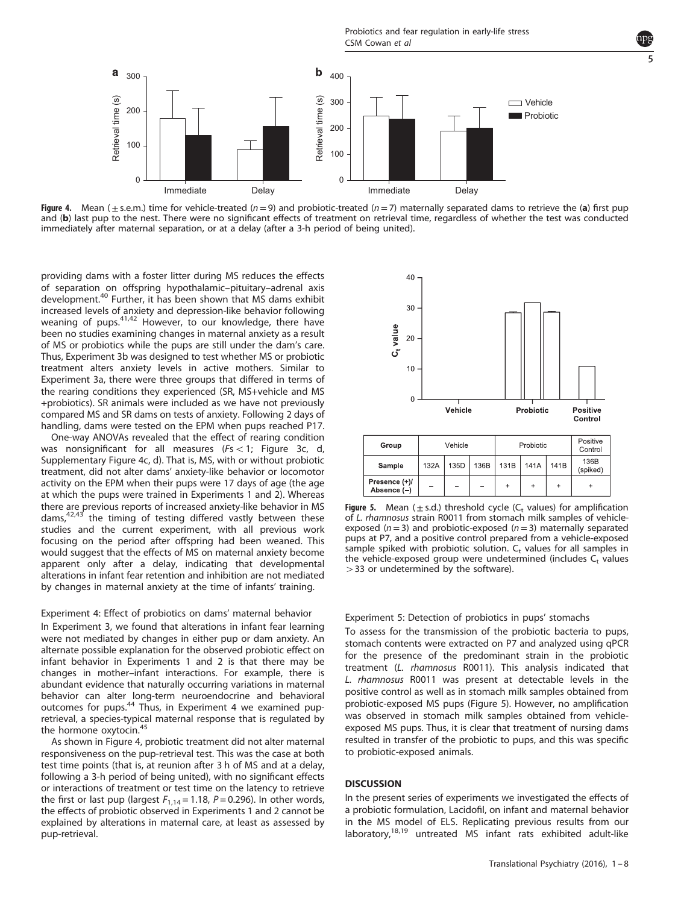Probiotics and fear regulation in early-life stress CSM Cowan et al

5



Figure 4. Mean ( $\pm$  s.e.m.) time for vehicle-treated ( $n = 9$ ) and probiotic-treated ( $n = 7$ ) maternally separated dams to retrieve the (a) first pup and (b) last pup to the nest. There were no significant effects of treatment on retrieval time, regardless of whether the test was conducted immediately after maternal separation, or at a delay (after a 3-h period of being united).

providing dams with a foster litter during MS reduces the effects of separation on offspring hypothalamic–pituitary–adrenal axis development.[40](#page-6-0) Further, it has been shown that MS dams exhibit increased levels of anxiety and depression-like behavior following weaning of pups.[41,42](#page-6-0) However, to our knowledge, there have been no studies examining changes in maternal anxiety as a result of MS or probiotics while the pups are still under the dam's care. Thus, Experiment 3b was designed to test whether MS or probiotic treatment alters anxiety levels in active mothers. Similar to Experiment 3a, there were three groups that differed in terms of the rearing conditions they experienced (SR, MS+vehicle and MS +probiotics). SR animals were included as we have not previously compared MS and SR dams on tests of anxiety. Following 2 days of handling, dams were tested on the EPM when pups reached P17.

One-way ANOVAs revealed that the effect of rearing condition was nonsignificant for all measures ( $Fs < 1$ ; [Figure 3c, d](#page-3-0), Supplementary Figure 4c, d). That is, MS, with or without probiotic treatment, did not alter dams' anxiety-like behavior or locomotor activity on the EPM when their pups were 17 days of age (the age at which the pups were trained in Experiments 1 and 2). Whereas there are previous reports of increased anxiety-like behavior in MS  $dams<sub>1</sub><sup>42,43</sup>$  $dams<sub>1</sub><sup>42,43</sup>$  $dams<sub>1</sub><sup>42,43</sup>$  the timing of testing differed vastly between these studies and the current experiment, with all previous work focusing on the period after offspring had been weaned. This would suggest that the effects of MS on maternal anxiety become apparent only after a delay, indicating that developmental alterations in infant fear retention and inhibition are not mediated by changes in maternal anxiety at the time of infants' training.

#### Experiment 4: Effect of probiotics on dams' maternal behavior

In Experiment 3, we found that alterations in infant fear learning were not mediated by changes in either pup or dam anxiety. An alternate possible explanation for the observed probiotic effect on infant behavior in Experiments 1 and 2 is that there may be changes in mother–infant interactions. For example, there is abundant evidence that naturally occurring variations in maternal behavior can alter long-term neuroendocrine and behavioral outcomes for pups.<sup>[44](#page-6-0)</sup> Thus, in Experiment 4 we examined pupretrieval, a species-typical maternal response that is regulated by the hormone oxytocin.<sup>[45](#page-6-0)</sup>

As shown in Figure 4, probiotic treatment did not alter maternal responsiveness on the pup-retrieval test. This was the case at both test time points (that is, at reunion after 3 h of MS and at a delay, following a 3-h period of being united), with no significant effects or interactions of treatment or test time on the latency to retrieve the first or last pup (largest  $F_{1,14} = 1.18$ ,  $P = 0.296$ ). In other words, the effects of probiotic observed in Experiments 1 and 2 cannot be explained by alterations in maternal care, at least as assessed by pup-retrieval.



Figure 5. Mean ( $\pm$  s.d.) threshold cycle (C<sub>t</sub> values) for amplification of L. rhamnosus strain R0011 from stomach milk samples of vehicleexposed ( $n=3$ ) and probiotic-exposed ( $n=3$ ) maternally separated pups at P7, and a positive control prepared from a vehicle-exposed sample spiked with probiotic solution.  $C_t$  values for all samples in the vehicle-exposed group were undetermined (includes  $C<sub>t</sub>$  values  $>$ 33 or undetermined by the software).

#### Experiment 5: Detection of probiotics in pups' stomachs

To assess for the transmission of the probiotic bacteria to pups, stomach contents were extracted on P7 and analyzed using qPCR for the presence of the predominant strain in the probiotic treatment (L. rhamnosus R0011). This analysis indicated that L. rhamnosus R0011 was present at detectable levels in the positive control as well as in stomach milk samples obtained from probiotic-exposed MS pups (Figure 5). However, no amplification was observed in stomach milk samples obtained from vehicleexposed MS pups. Thus, it is clear that treatment of nursing dams resulted in transfer of the probiotic to pups, and this was specific to probiotic-exposed animals.

### **DISCUSSION**

In the present series of experiments we investigated the effects of a probiotic formulation, Lacidofil, on infant and maternal behavior in the MS model of ELS. Replicating previous results from our laboratory,<sup>[18,19](#page-6-0)</sup> untreated MS infant rats exhibited adult-like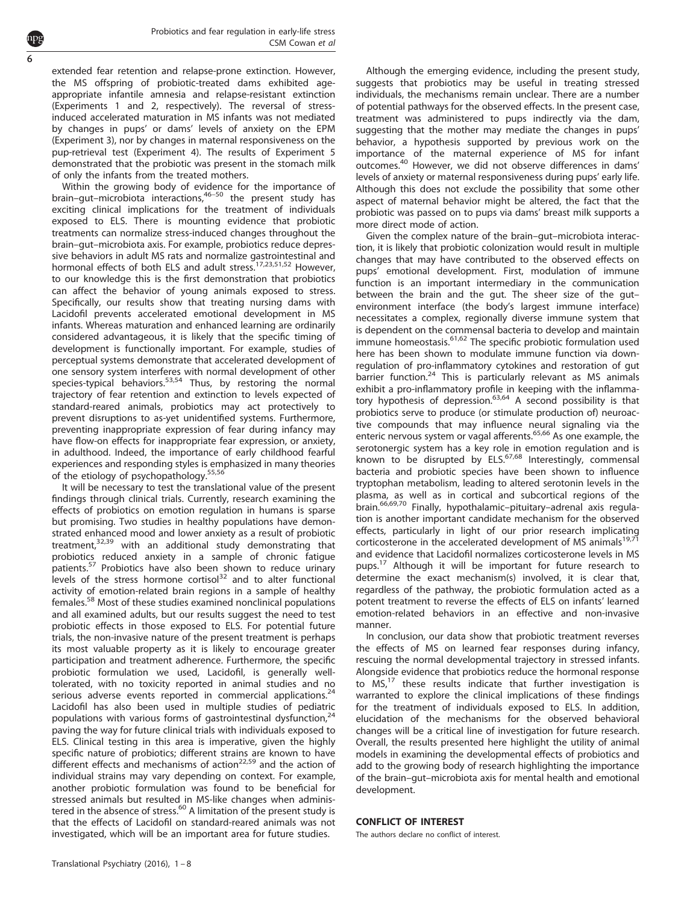extended fear retention and relapse-prone extinction. However, the MS offspring of probiotic-treated dams exhibited ageappropriate infantile amnesia and relapse-resistant extinction (Experiments 1 and 2, respectively). The reversal of stressinduced accelerated maturation in MS infants was not mediated by changes in pups' or dams' levels of anxiety on the EPM (Experiment 3), nor by changes in maternal responsiveness on the pup-retrieval test (Experiment 4). The results of Experiment 5 demonstrated that the probiotic was present in the stomach milk of only the infants from the treated mothers.

Within the growing body of evidence for the importance of brain–gut–microbiota interactions,<sup>[46](#page-6-0)–50</sup> the present study has exciting clinical implications for the treatment of individuals exposed to ELS. There is mounting evidence that probiotic treatments can normalize stress-induced changes throughout the brain–gut–microbiota axis. For example, probiotics reduce depressive behaviors in adult MS rats and normalize gastrointestinal and hormonal effects of both ELS and adult stress.<sup>[17](#page-6-0),[23,](#page-6-0)[51,52](#page-7-0)</sup> However, to our knowledge this is the first demonstration that probiotics can affect the behavior of young animals exposed to stress. Specifically, our results show that treating nursing dams with Lacidofil prevents accelerated emotional development in MS infants. Whereas maturation and enhanced learning are ordinarily considered advantageous, it is likely that the specific timing of development is functionally important. For example, studies of perceptual systems demonstrate that accelerated development of one sensory system interferes with normal development of other species-typical behaviors.<sup>[53](#page-7-0),[54](#page-7-0)</sup> Thus, by restoring the normal trajectory of fear retention and extinction to levels expected of standard-reared animals, probiotics may act protectively to prevent disruptions to as-yet unidentified systems. Furthermore, preventing inappropriate expression of fear during infancy may have flow-on effects for inappropriate fear expression, or anxiety, in adulthood. Indeed, the importance of early childhood fearful experiences and responding styles is emphasized in many theories of the etiology of psychopathology.<sup>[55](#page-7-0),[56](#page-7-0)</sup>

It will be necessary to test the translational value of the present findings through clinical trials. Currently, research examining the effects of probiotics on emotion regulation in humans is sparse but promising. Two studies in healthy populations have demonstrated enhanced mood and lower anxiety as a result of probiotic treatment,<sup>[32](#page-6-0),[39](#page-6-0)</sup> with an additional study demonstrating that probiotics reduced anxiety in a sample of chronic fatigue patients.<sup>[57](#page-7-0)</sup> Probiotics have also been shown to reduce urinary levels of the stress hormone cortisol<sup>[32](#page-6-0)</sup> and to alter functional activity of emotion-related brain regions in a sample of healthy females[.58](#page-7-0) Most of these studies examined nonclinical populations and all examined adults, but our results suggest the need to test probiotic effects in those exposed to ELS. For potential future trials, the non-invasive nature of the present treatment is perhaps its most valuable property as it is likely to encourage greater participation and treatment adherence. Furthermore, the specific probiotic formulation we used, Lacidofil, is generally welltolerated, with no toxicity reported in animal studies and no serious adverse events reported in commercial applications.<sup>[24](#page-6-0)</sup> Lacidofil has also been used in multiple studies of pediatric populations with various forms of gastrointestinal dysfunction, $24$ paving the way for future clinical trials with individuals exposed to ELS. Clinical testing in this area is imperative, given the highly specific nature of probiotics; different strains are known to have different effects and mechanisms of action<sup>[22,](#page-6-0)[59](#page-7-0)</sup> and the action of individual strains may vary depending on context. For example, another probiotic formulation was found to be beneficial for stressed animals but resulted in MS-like changes when administered in the absence of stress. $60$  A limitation of the present study is that the effects of Lacidofil on standard-reared animals was not investigated, which will be an important area for future studies.

Although the emerging evidence, including the present study, suggests that probiotics may be useful in treating stressed individuals, the mechanisms remain unclear. There are a number of potential pathways for the observed effects. In the present case, treatment was administered to pups indirectly via the dam, suggesting that the mother may mediate the changes in pups' behavior, a hypothesis supported by previous work on the importance of the maternal experience of MS for infant outcomes.[40](#page-6-0) However, we did not observe differences in dams' levels of anxiety or maternal responsiveness during pups' early life. Although this does not exclude the possibility that some other aspect of maternal behavior might be altered, the fact that the probiotic was passed on to pups via dams' breast milk supports a more direct mode of action.

Given the complex nature of the brain–gut–microbiota interaction, it is likely that probiotic colonization would result in multiple changes that may have contributed to the observed effects on pups' emotional development. First, modulation of immune function is an important intermediary in the communication between the brain and the gut. The sheer size of the gut– environment interface (the body's largest immune interface) necessitates a complex, regionally diverse immune system that is dependent on the commensal bacteria to develop and maintain immune homeostasis.<sup>[61](#page-7-0),[62](#page-7-0)</sup> The specific probiotic formulation used here has been shown to modulate immune function via downregulation of pro-inflammatory cytokines and restoration of gut barrier function.<sup>[24](#page-6-0)</sup> This is particularly relevant as MS animals exhibit a pro-inflammatory profile in keeping with the inflammatory hypothesis of depression.[63,64](#page-7-0) A second possibility is that probiotics serve to produce (or stimulate production of) neuroactive compounds that may influence neural signaling via the enteric nervous system or vagal afferents.<sup>[65,66](#page-7-0)</sup> As one example, the serotonergic system has a key role in emotion regulation and is known to be disrupted by  $ELS$ .<sup>[67,68](#page-7-0)</sup> Interestingly, commensal bacteria and probiotic species have been shown to influence tryptophan metabolism, leading to altered serotonin levels in the plasma, as well as in cortical and subcortical regions of the brain.<sup>66,[69](#page-7-0),[70](#page-7-0)</sup> Finally, hypothalamic–pituitary–adrenal axis regulation is another important candidate mechanism for the observed effects, particularly in light of our prior research implicating corticosterone in the accelerated development of MS animals<sup>[19](#page-6-0),[71](#page-7-0)</sup> and evidence that Lacidofil normalizes corticosterone levels in MS pups.<sup>[17](#page-6-0)</sup> Although it will be important for future research to determine the exact mechanism(s) involved, it is clear that, regardless of the pathway, the probiotic formulation acted as a potent treatment to reverse the effects of ELS on infants' learned emotion-related behaviors in an effective and non-invasive manner.

In conclusion, our data show that probiotic treatment reverses the effects of MS on learned fear responses during infancy, rescuing the normal developmental trajectory in stressed infants. Alongside evidence that probiotics reduce the hormonal response to  $\text{MS},^{17}$  $\text{MS},^{17}$  $\text{MS},^{17}$  these results indicate that further investigation is warranted to explore the clinical implications of these findings for the treatment of individuals exposed to ELS. In addition, elucidation of the mechanisms for the observed behavioral changes will be a critical line of investigation for future research. Overall, the results presented here highlight the utility of animal models in examining the developmental effects of probiotics and add to the growing body of research highlighting the importance of the brain–gut–microbiota axis for mental health and emotional development.

#### CONFLICT OF INTEREST

The authors declare no conflict of interest.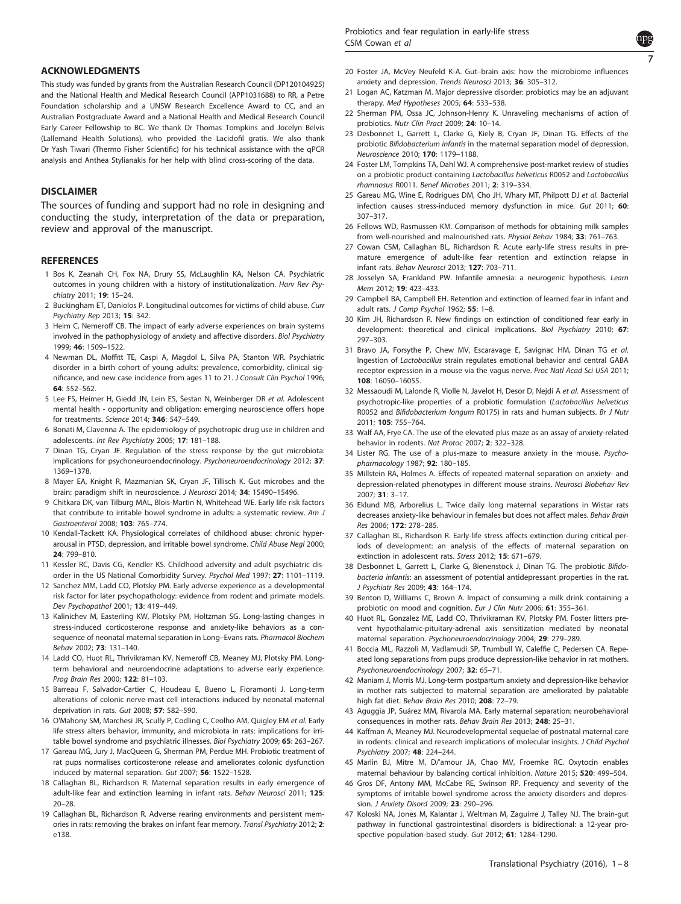<span id="page-6-0"></span>

This study was funded by grants from the Australian Research Council (DP120104925) and the National Health and Medical Research Council (APP1031688) to RR, a Petre Foundation scholarship and a UNSW Research Excellence Award to CC, and an Australian Postgraduate Award and a National Health and Medical Research Council Early Career Fellowship to BC. We thank Dr Thomas Tompkins and Jocelyn Belvis (Lallemand Health Solutions), who provided the Lacidofil gratis. We also thank Dr Yash Tiwari (Thermo Fisher Scientific) for his technical assistance with the qPCR analysis and Anthea Stylianakis for her help with blind cross-scoring of the data.

#### DISCLAIMER

The sources of funding and support had no role in designing and conducting the study, interpretation of the data or preparation, review and approval of the manuscript.

#### REFERENCES

- 1 Bos K, Zeanah CH, Fox NA, Drury SS, McLaughlin KA, Nelson CA. Psychiatric outcomes in young children with a history of institutionalization. Harv Rev Psychiatry 2011; 19: 15–24.
- 2 Buckingham ET, Daniolos P. Longitudinal outcomes for victims of child abuse. Curr Psychiatry Rep 2013; 15: 342.
- 3 Heim C, Nemeroff CB. The impact of early adverse experiences on brain systems involved in the pathophysiology of anxiety and affective disorders. Biol Psychiatry 1999; 46: 1509–1522.
- 4 Newman DL, Moffitt TE, Caspi A, Magdol L, Silva PA, Stanton WR. Psychiatric disorder in a birth cohort of young adults: prevalence, comorbidity, clinical significance, and new case incidence from ages 11 to 21. J Consult Clin Psychol 1996; 64: 552–562.
- 5 Lee FS, Heimer H, Giedd JN, Lein ES, Šestan N, Weinberger DR et al. Adolescent mental health - opportunity and obligation: emerging neuroscience offers hope for treatments. Science 2014; 346: 547–549.
- 6 Bonati M, Clavenna A. The epidemiology of psychotropic drug use in children and adolescents. Int Rev Psychiatry 2005; 17: 181–188.
- 7 Dinan TG, Cryan JF. Regulation of the stress response by the gut microbiota: implications for psychoneuroendocrinology. Psychoneuroendocrinology 2012; 37: 1369–1378.
- 8 Mayer EA, Knight R, Mazmanian SK, Cryan JF, Tillisch K. Gut microbes and the brain: paradigm shift in neuroscience. J Neurosci 2014; 34: 15490–15496.
- 9 Chitkara DK, van Tilburg MAL, Blois-Martin N, Whitehead WE. Early life risk factors that contribute to irritable bowel syndrome in adults: a systematic review. Am J Gastroenterol 2008; 103: 765–774.
- 10 Kendall-Tackett KA. Physiological correlates of childhood abuse: chronic hyperarousal in PTSD, depression, and irritable bowel syndrome. Child Abuse Negl 2000; 24: 799–810.
- 11 Kessler RC, Davis CG, Kendler KS. Childhood adversity and adult psychiatric disorder in the US National Comorbidity Survey. Psychol Med 1997; 27: 1101–1119.
- 12 Sanchez MM, Ladd CO, Plotsky PM. Early adverse experience as a developmental risk factor for later psychopathology: evidence from rodent and primate models. Dev Psychopathol 2001; 13: 419–449.
- 13 Kalinichev M, Easterling KW, Plotsky PM, Holtzman SG. Long-lasting changes in stress-induced corticosterone response and anxiety-like behaviors as a consequence of neonatal maternal separation in Long–Evans rats. Pharmacol Biochem Behav 2002; 73: 131–140.
- 14 Ladd CO, Huot RL, Thrivikraman KV, Nemeroff CB, Meaney MJ, Plotsky PM. Longterm behavioral and neuroendocrine adaptations to adverse early experience. Prog Brain Res 2000; 122: 81–103.
- 15 Barreau F, Salvador-Cartier C, Houdeau E, Bueno L, Fioramonti J. Long-term alterations of colonic nerve-mast cell interactions induced by neonatal maternal deprivation in rats. Gut 2008; 57: 582–590.
- 16 O'Mahony SM, Marchesi JR, Scully P, Codling C, Ceolho AM, Quigley EM et al. Early life stress alters behavior, immunity, and microbiota in rats: implications for irritable bowel syndrome and psychiatric illnesses. Biol Psychiatry 2009; 65: 263–267.
- 17 Gareau MG, Jury J, MacQueen G, Sherman PM, Perdue MH. Probiotic treatment of rat pups normalises corticosterone release and ameliorates colonic dysfunction induced by maternal separation. Gut 2007; 56: 1522–1528.
- 18 Callaghan BL, Richardson R. Maternal separation results in early emergence of adult-like fear and extinction learning in infant rats. Behav Neurosci 2011; 125: 20–28.
- 19 Callaghan BL, Richardson R. Adverse rearing environments and persistent memories in rats: removing the brakes on infant fear memory. Transl Psychiatry 2012; 2: e138.
- 20 Foster JA, McVey Neufeld K-A. Gut–brain axis: how the microbiome influences anxiety and depression. Trends Neurosci 2013; 36: 305–312.
- 21 Logan AC, Katzman M. Major depressive disorder: probiotics may be an adjuvant therapy. Med Hypotheses 2005; 64: 533–538.
- 22 Sherman PM, Ossa JC, Johnson-Henry K. Unraveling mechanisms of action of probiotics. Nutr Clin Pract 2009; 24: 10–14.
- 23 Desbonnet L, Garrett L, Clarke G, Kiely B, Cryan JF, Dinan TG. Effects of the probiotic Bifidobacterium infantis in the maternal separation model of depression. Neuroscience 2010; 170: 1179–1188.
- 24 Foster LM, Tompkins TA, Dahl WJ. A comprehensive post-market review of studies on a probiotic product containing Lactobacillus helveticus R0052 and Lactobacillus rhamnosus R0011. Benef Microbes 2011; 2: 319–334.
- 25 Gareau MG, Wine E, Rodrigues DM, Cho JH, Whary MT, Philpott DJ et al. Bacterial infection causes stress-induced memory dysfunction in mice. Gut 2011; 60: 307–317.
- 26 Fellows WD, Rasmussen KM. Comparison of methods for obtaining milk samples from well-nourished and malnourished rats. Physiol Behav 1984; 33: 761–763.
- 27 Cowan CSM, Callaghan BL, Richardson R. Acute early-life stress results in premature emergence of adult-like fear retention and extinction relapse in infant rats. Behav Neurosci 2013; 127: 703–711.
- 28 Josselyn SA, Frankland PW. Infantile amnesia: a neurogenic hypothesis. Learn Mem 2012; 19: 423–433.
- 29 Campbell BA, Campbell EH. Retention and extinction of learned fear in infant and adult rats. J Comp Psychol 1962; 55: 1-8.
- 30 Kim JH, Richardson R. New findings on extinction of conditioned fear early in development: theoretical and clinical implications. Biol Psychiatry 2010; 67: 297–303.
- 31 Bravo JA, Forsythe P, Chew MV, Escaravage E, Savignac HM, Dinan TG et al. Ingestion of Lactobacillus strain regulates emotional behavior and central GABA receptor expression in a mouse via the vagus nerve. Proc Natl Acad Sci USA 2011; 108: 16050–16055.
- 32 Messaoudi M, Lalonde R, Violle N, Javelot H, Desor D, Nejdi A et al. Assessment of psychotropic-like properties of a probiotic formulation (Lactobacillus helveticus R0052 and Bifidobacterium longum R0175) in rats and human subjects. Br J Nutr 2011; 105: 755–764.
- 33 Walf AA, Frye CA. The use of the elevated plus maze as an assay of anxiety-related behavior in rodents. Nat Protoc 2007; 2: 322–328.
- 34 Lister RG. The use of a plus-maze to measure anxiety in the mouse. Psychopharmacology 1987; 92: 180–185.
- 35 Millstein RA, Holmes A. Effects of repeated maternal separation on anxiety- and depression-related phenotypes in different mouse strains. Neurosci Biobehav Rev 2007; 31: 3–17.
- 36 Eklund MB, Arborelius L. Twice daily long maternal separations in Wistar rats decreases anxiety-like behaviour in females but does not affect males. Behav Brain Res 2006; 172: 278–285.
- 37 Callaghan BL, Richardson R. Early-life stress affects extinction during critical periods of development: an analysis of the effects of maternal separation on extinction in adolescent rats. Stress 2012; 15: 671–679.
- 38 Desbonnet L, Garrett L, Clarke G, Bienenstock J, Dinan TG. The probiotic Bifidobacteria infantis: an assessment of potential antidepressant properties in the rat. J Psychiatr Res 2009; 43: 164–174.
- 39 Benton D, Williams C, Brown A. Impact of consuming a milk drink containing a probiotic on mood and cognition. Eur J Clin Nutr 2006; 61: 355-361.
- 40 Huot RL, Gonzalez ME, Ladd CO, Thrivikraman KV, Plotsky PM. Foster litters prevent hypothalamic-pituitary-adrenal axis sensitization mediated by neonatal maternal separation. Psychoneuroendocrinology 2004; 29: 279–289.
- 41 Boccia ML, Razzoli M, Vadlamudi SP, Trumbull W, Caleffie C, Pedersen CA. Repeated long separations from pups produce depression-like behavior in rat mothers. Psychoneuroendocrinology 2007; 32: 65–71.
- 42 Maniam J, Morris MJ. Long-term postpartum anxiety and depression-like behavior in mother rats subjected to maternal separation are ameliorated by palatable high fat diet. Behav Brain Res 2010; 208: 72-79.
- 43 Aguggia JP, Suárez MM, Rivarola MA. Early maternal separation: neurobehavioral consequences in mother rats. Behav Brain Res 2013; 248: 25–31.
- 44 Kaffman A, Meaney MJ. Neurodevelopmental sequelae of postnatal maternal care in rodents: clinical and research implications of molecular insights. J Child Psychol Psychiatry 2007; 48: 224–244.
- 45 Marlin BJ, Mitre M, D/'amour JA, Chao MV, Froemke RC. Oxytocin enables maternal behaviour by balancing cortical inhibition. Nature 2015; 520: 499–504.
- 46 Gros DF, Antony MM, McCabe RE, Swinson RP. Frequency and severity of the symptoms of irritable bowel syndrome across the anxiety disorders and depression. J Anxiety Disord 2009; 23: 290-296.
- 47 Koloski NA, Jones M, Kalantar J, Weltman M, Zaguirre J, Talley NJ. The brain-gut pathway in functional gastrointestinal disorders is bidirectional: a 12-year prospective population-based study. Gut 2012; 61: 1284–1290.